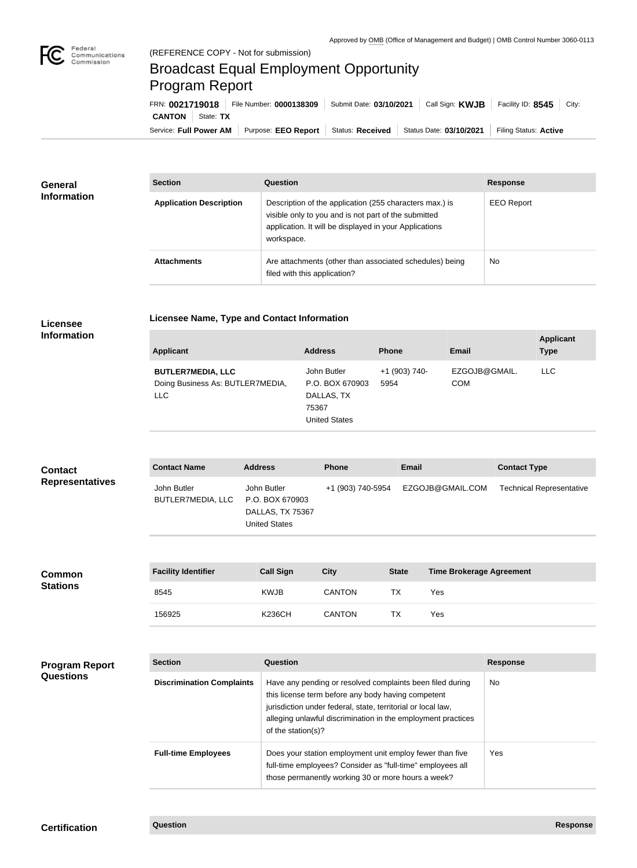

## Broadcast Equal Employment Opportunity Program Report

**Licensee Name, Type and Contact Information**

Service: Full Power AM | Purpose: EEO Report | Status: Received | Status Date: 03/10/2021 | Filing Status: Active **CANTON** State: **TX** FRN: **0021719018** File Number: **0000138309** Submit Date: **03/10/2021** Call Sign: **KWJB** Facility ID: **8545** City:

| <b>General</b><br><b>Information</b> | <b>Section</b>                 | <b>Question</b>                                                                                                                                                                         | <b>Response</b>   |
|--------------------------------------|--------------------------------|-----------------------------------------------------------------------------------------------------------------------------------------------------------------------------------------|-------------------|
|                                      | <b>Application Description</b> | Description of the application (255 characters max.) is<br>visible only to you and is not part of the submitted<br>application. It will be displayed in your Applications<br>workspace. | <b>EEO Report</b> |
|                                      | <b>Attachments</b>             | Are attachments (other than associated schedules) being<br>filed with this application?                                                                                                 | <b>No</b>         |

## **Licensee Information**

| Applicant                                                           | <b>Address</b>                                                                | <b>Phone</b>          | Email                       | <b>Applicant</b><br><b>Type</b> |
|---------------------------------------------------------------------|-------------------------------------------------------------------------------|-----------------------|-----------------------------|---------------------------------|
| <b>BUTLER7MEDIA, LLC</b><br>Doing Business As: BUTLER7MEDIA,<br>LLC | John Butler<br>P.O. BOX 670903<br>DALLAS, TX<br>75367<br><b>United States</b> | +1 (903) 740-<br>5954 | EZGOJB@GMAIL.<br><b>COM</b> | <b>LLC</b>                      |

| <b>Contact</b>         | <b>Contact Name</b>              | <b>Address</b>                                                             | <b>Phone</b>      | Email            | <b>Contact Type</b>             |
|------------------------|----------------------------------|----------------------------------------------------------------------------|-------------------|------------------|---------------------------------|
| <b>Representatives</b> | John Butler<br>BUTLER7MEDIA, LLC | John Butler<br>P.O. BOX 670903<br>DALLAS, TX 75367<br><b>United States</b> | +1 (903) 740-5954 | EZGOJB@GMAIL.COM | <b>Technical Representative</b> |

| <b>Common</b><br><b>Stations</b> | <b>Facility Identifier</b> | <b>Call Sign</b> | <b>City</b>   | <b>State</b> | Time Brokerage Agreement |
|----------------------------------|----------------------------|------------------|---------------|--------------|--------------------------|
|                                  | 8545                       | <b>KWJB</b>      | <b>CANTON</b> | ТX           | Yes                      |
|                                  | 156925                     | <b>K236CH</b>    | <b>CANTON</b> | <b>TX</b>    | Yes                      |

| <b>Program Report</b> |  |
|-----------------------|--|
| <b>Questions</b>      |  |

| <b>Section</b>                   | Question                                                                                                                                                                                                                                                              | <b>Response</b> |
|----------------------------------|-----------------------------------------------------------------------------------------------------------------------------------------------------------------------------------------------------------------------------------------------------------------------|-----------------|
| <b>Discrimination Complaints</b> | Have any pending or resolved complaints been filed during<br>this license term before any body having competent<br>jurisdiction under federal, state, territorial or local law,<br>alleging unlawful discrimination in the employment practices<br>of the station(s)? | No.             |
| <b>Full-time Employees</b>       | Does your station employment unit employ fewer than five<br>full-time employees? Consider as "full-time" employees all<br>those permanently working 30 or more hours a week?                                                                                          | Yes             |